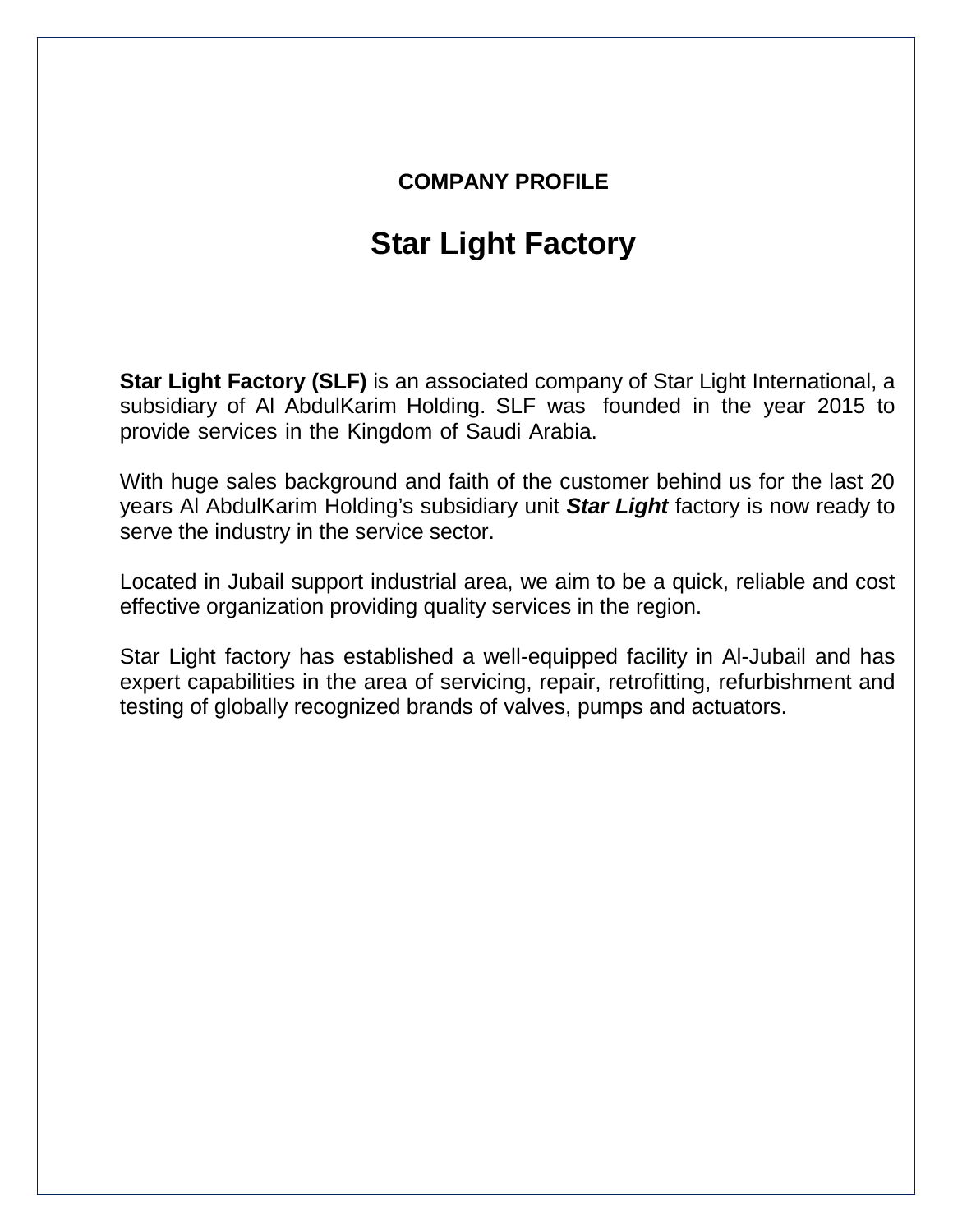## **COMPANY PROFILE**

## **Star Light Factory**

**Star Light Factory (SLF)** is an associated company of Star Light International, a subsidiary of Al AbdulKarim Holding. SLF was founded in the year 2015 to provide services in the Kingdom of Saudi Arabia.

With huge sales background and faith of the customer behind us for the last 20 years Al AbdulKarim Holding's subsidiary unit *Star Light* factory is now ready to serve the industry in the service sector.

Located in Jubail support industrial area, we aim to be a quick, reliable and cost effective organization providing quality services in the region.

Star Light factory has established a well-equipped facility in Al-Jubail and has expert capabilities in the area of servicing, repair, retrofitting, refurbishment and testing of globally recognized brands of valves, pumps and actuators.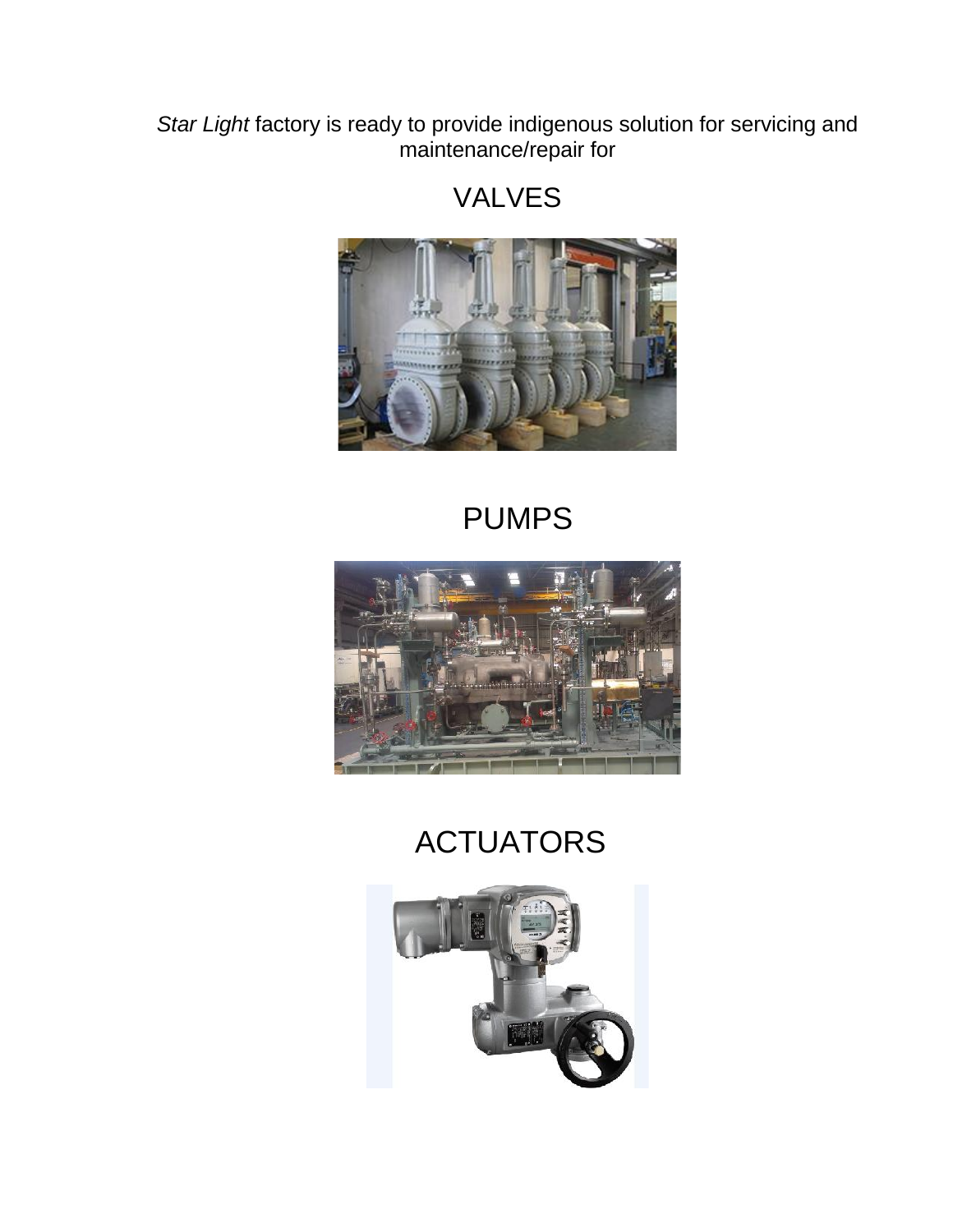*Star Light* factory is ready to provide indigenous solution for servicing and maintenance/repair for





## PUMPS



## ACTUATORS

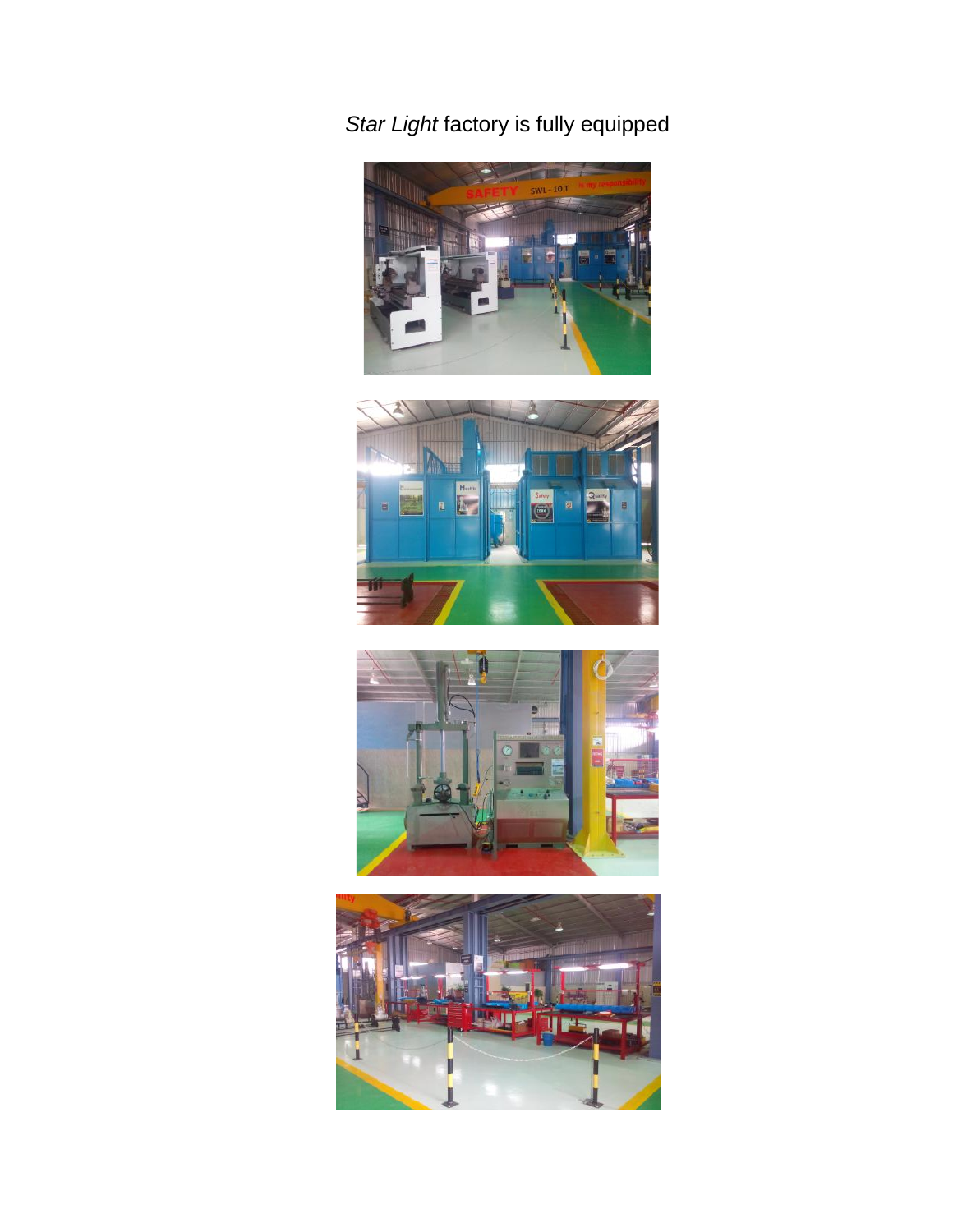*Star Light* factory is fully equipped